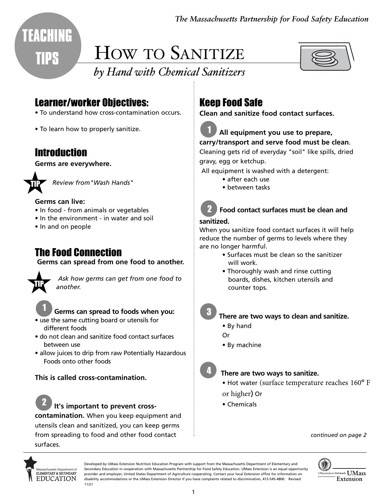*The Massachusetts Partnership for Food Safety Education*



**TEACHING** 

# HOW TO SANITIZE



## *by Hand with Chemical Sanitizers*

## Learner/worker Objectives:

- To understand how cross-contamination occurs.
- To learn how to properly sanitize.

## **Introduction**

**Germs are everywhere.** 



*Review from"Wash Hands"*

#### **Germs can live:**

- In food from animals or vegetables
- In the environment in water and soil
- In and on people

## The Food Connection

**Germs can spread from one food to another.** 



*Ask how germs can get from one food to another.* 



#### **Germs can spread to foods when you:**

- use the same cutting board or utensils for different foods
- do not clean and sanitize food contact surfaces between use
- allow juices to drip from raw Potentially Hazardous Foods onto other foods

#### **This is called cross-contamination.**



#### **It's important to prevent cross-**

**contamination.** When you keep equipment and utensils clean and sanitized, you can keep germs from spreading to food and other food contact surfaces.

## Keep Food Safe

**Clean and sanitize food contact surfaces.** 

## 1

#### **All equipment you use to prepare, carry/transport and serve food must be clean**.

Cleaning gets rid of everyday "soil" like spills, dried gravy, egg or ketchup.

All equipment is washed with a detergent:

- after each use
- between tasks

#### **Food contact surfaces must be clean and** 2

#### **sanitized.**

When you sanitize food contact surfaces it will help reduce the number of germs to levels where they are no longer harmful.

- Surfaces must be clean so the sanitizer will work.
- Thoroughly wash and rinse cutting boards, dishes, kitchen utensils and counter tops.

3

4

#### **There are two ways to clean and sanitize.**

- By hand
- Or
- By machine

#### **There are two ways to sanitize.**

- Hot water (surface temperature reaches 160º F or higher) Or
- Chemicals

*continued on page 2*



Developed by UMass Extension Nutrition Education Program with support from the Massachusetts Department of Elementary and Secondary Education in cooperation with Massachusetts Partnership for Food Safety Education. UMass Extension is an equal opportunity provider and employer, United States Department of Agriculture cooperating. Contact your local Extension office for information on disability accommodations or the UMass Extension Director if you have complaints related to discrimination, 413-545-4800. Revised 11/21

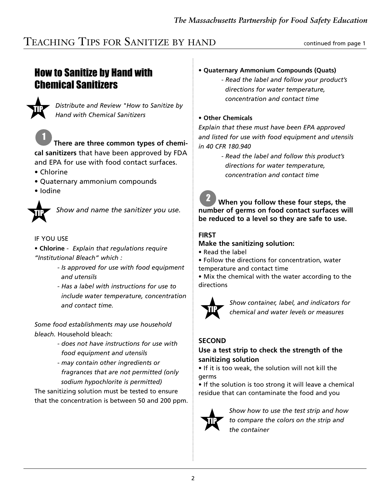## TEACHING TIPS FOR SANITIZE BY HAND continued from page 1

## How to Sanitize by Hand with Chemical Sanitizers



*Distribute and Review "How to Sanitize by Hand with Chemical Sanitizers*



- Chlorine
- Quaternary ammonium compounds
- Iodine



*Show and name the sanitizer you use.*

#### IF YOU USE

- **Chlorine** *Explain that regulations require "Institutional Bleach" which :*
	- *Is approved for use with food equipment and utensils*
	- *Has a label with instructions for use to include water temperature, concentration and contact time.*

*Some food establishments may use household bleach.* Household bleach:

- *does not have instructions for use with food equipment and utensils*
- *may contain other ingredients or fragrances that are not permitted (only sodium hypochlorite is permitted)*

The sanitizing solution must be tested to ensure that the concentration is between 50 and 200 ppm.

#### • **Quaternary Ammonium Compounds (Quats)**

*- Read the label and follow your product's directions for water temperature, concentration and contact time*

#### **• Other Chemicals**

*Explain that these must have been EPA approved and listed for use with food equipment and utensils in 40 CFR 180.940*

> *- Read the label and follow this product's directions for water temperature, concentration and contact time*

**When you follow these four steps, the number of germs on food contact surfaces will be reduced to a level so they are safe to use.** 2

#### **FIRST**

#### **Make the sanitizing solution:**

• Read the label

• Follow the directions for concentration, water temperature and contact time

• Mix the chemical with the water according to the directions



*Show container, label, and indicators for chemical and water levels or measures*

#### **SECOND**

#### **Use a test strip to check the strength of the sanitizing solution**

• If it is too weak, the solution will not kill the germs

• If the solution is too strong it will leave a chemical residue that can contaminate the food and you



*Show how to use the test strip and how to compare the colors on the strip and the container*